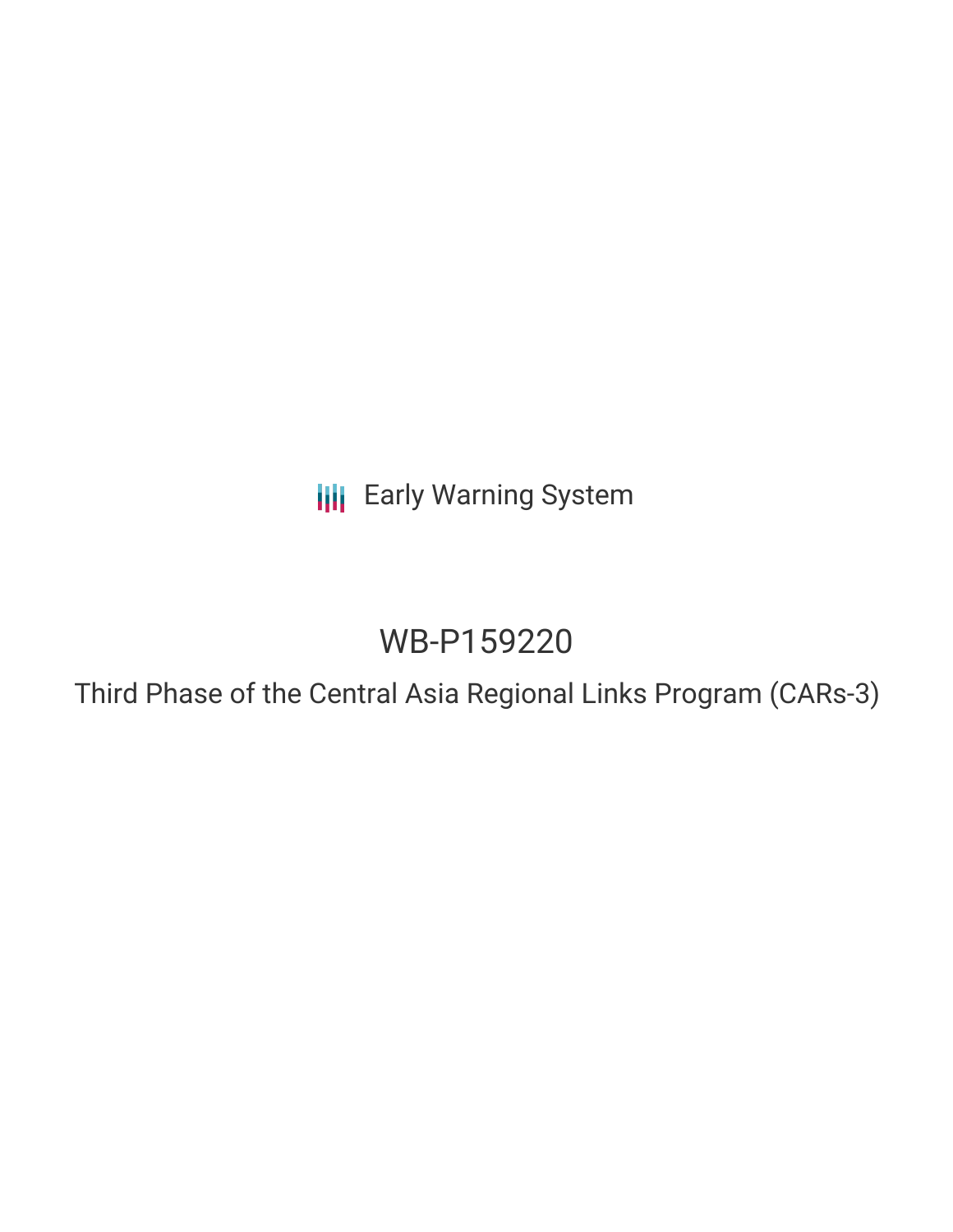**III** Early Warning System

# WB-P159220

Third Phase of the Central Asia Regional Links Program (CARs-3)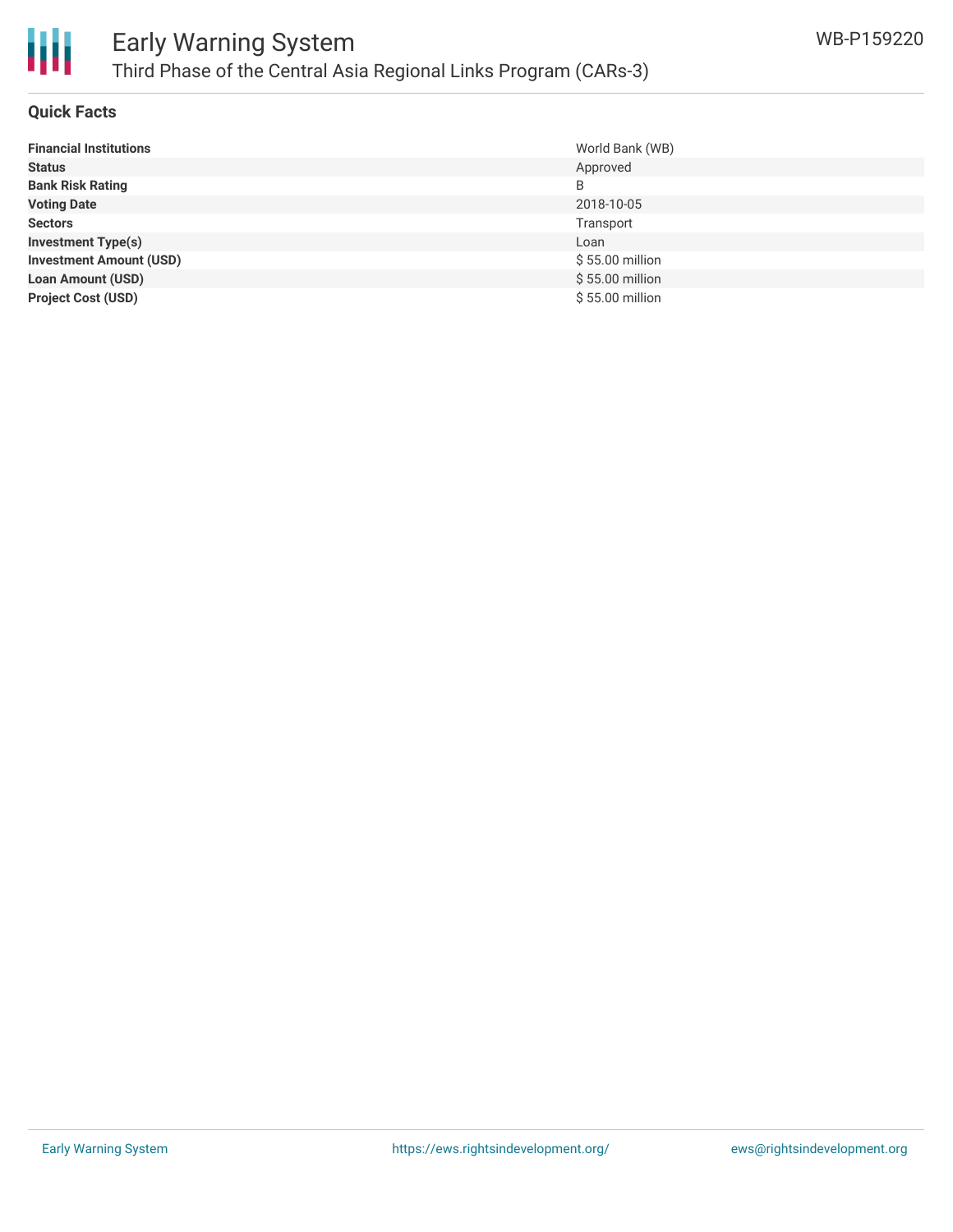

#### **Quick Facts**

| <b>Financial Institutions</b>  | World Bank (WB) |
|--------------------------------|-----------------|
| <b>Status</b>                  | Approved        |
| <b>Bank Risk Rating</b>        | B               |
| <b>Voting Date</b>             | 2018-10-05      |
| <b>Sectors</b>                 | Transport       |
| <b>Investment Type(s)</b>      | Loan            |
| <b>Investment Amount (USD)</b> | \$55.00 million |
| <b>Loan Amount (USD)</b>       | \$55.00 million |
| <b>Project Cost (USD)</b>      | \$55.00 million |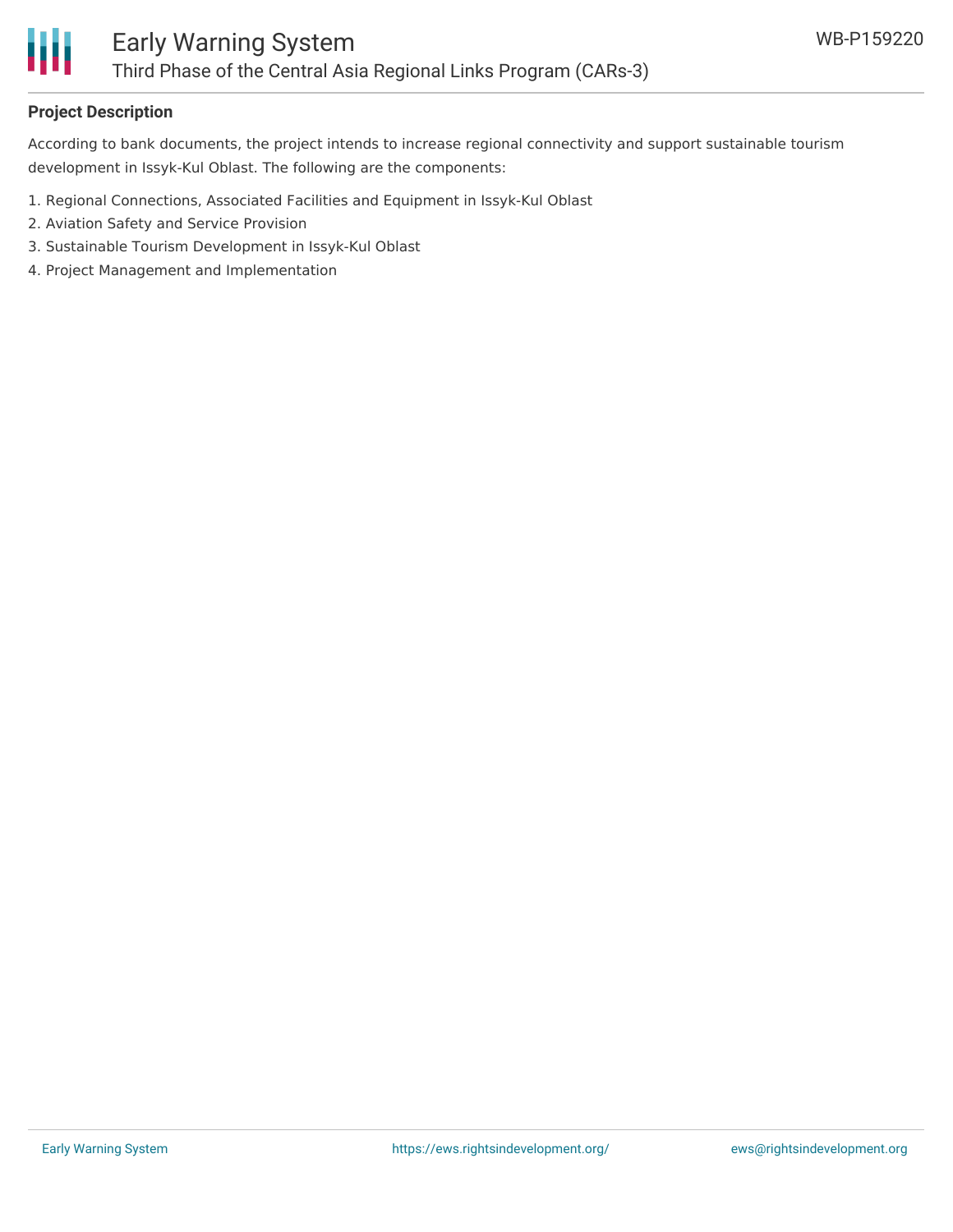

## **Project Description**

According to bank documents, the project intends to increase regional connectivity and support sustainable tourism development in Issyk-Kul Oblast. The following are the components:

- 1. Regional Connections, Associated Facilities and Equipment in Issyk-Kul Oblast
- 2. Aviation Safety and Service Provision
- 3. Sustainable Tourism Development in Issyk-Kul Oblast
- 4. Project Management and Implementation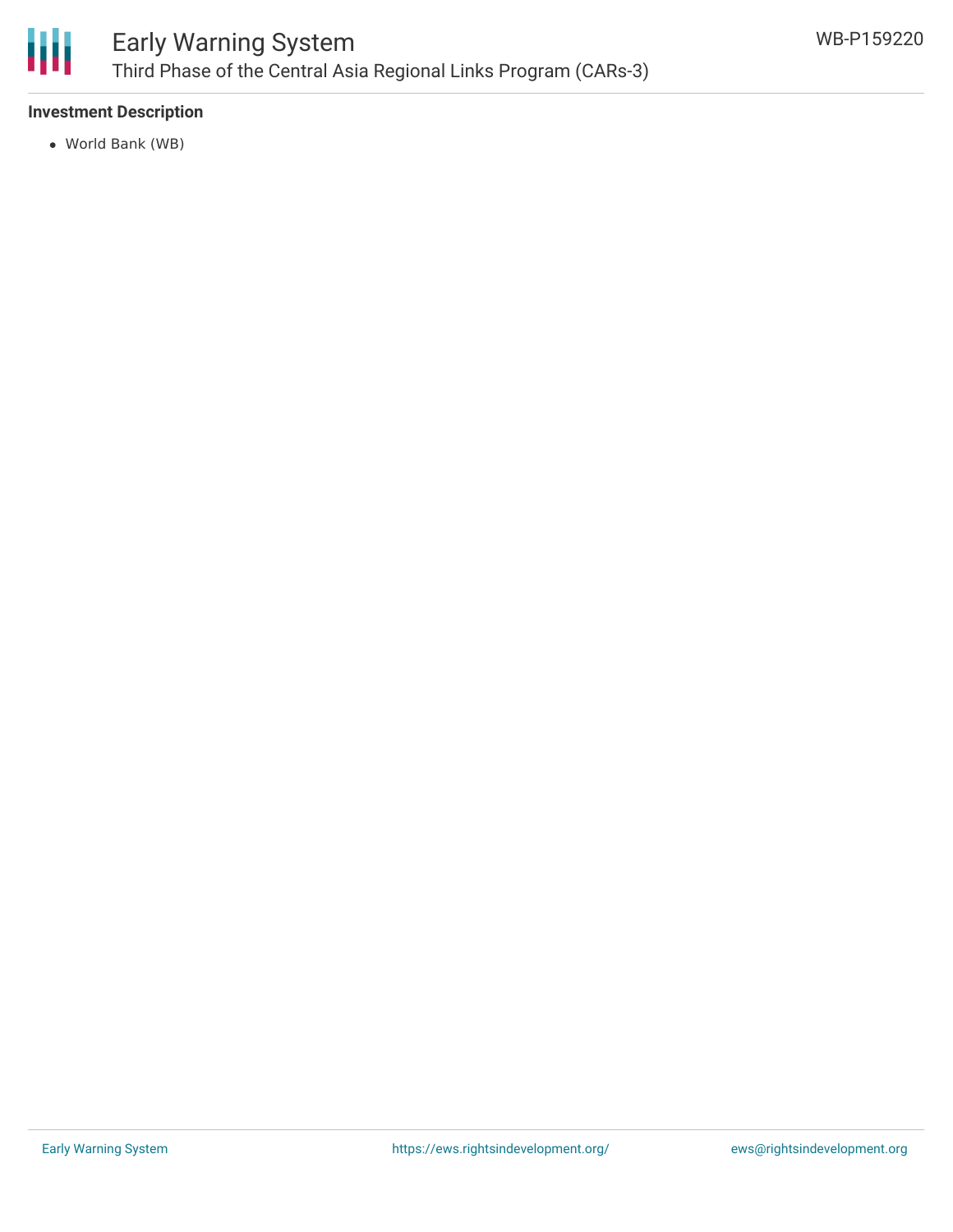

### **Investment Description**

World Bank (WB)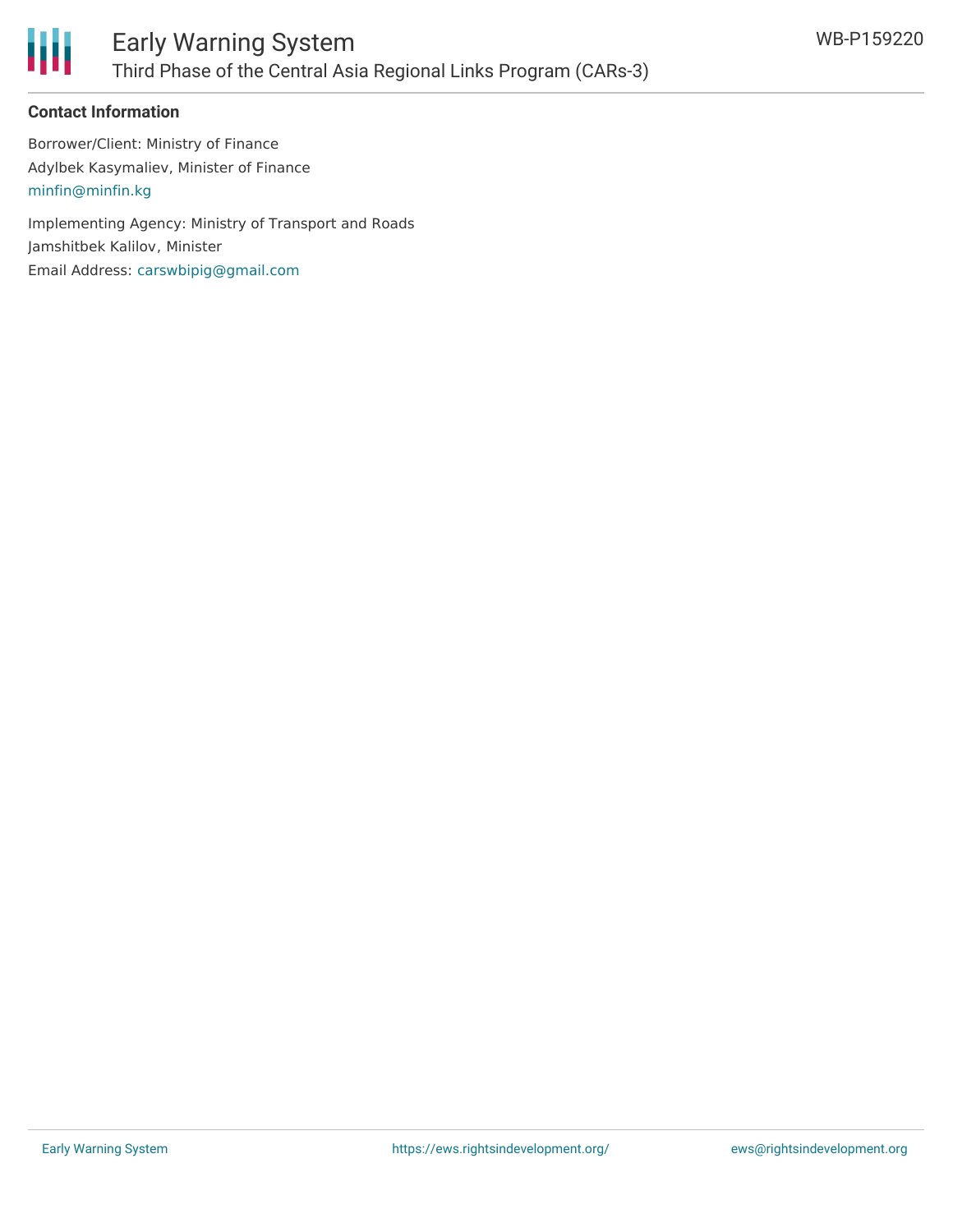

#### **Contact Information**

Borrower/Client: Ministry of Finance Adylbek Kasymaliev, Minister of Finance [minfin@minfin.kg](mailto:minfin@minfin.kg)

Implementing Agency: Ministry of Transport and Roads Jamshitbek Kalilov, Minister Email Address: [carswbipig@gmail.com](mailto:carswbipig@gmail.com)